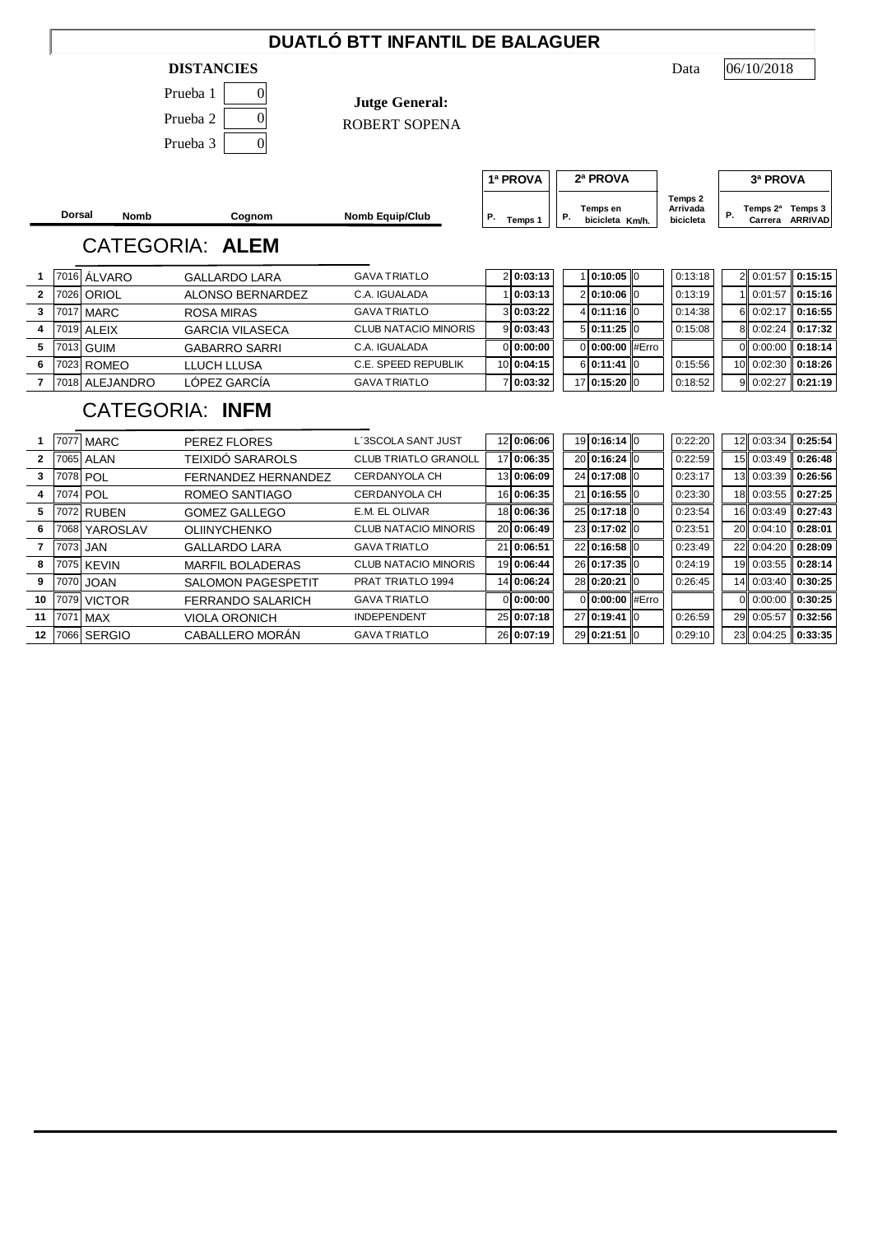### **DUATLÓ BTT INFANTIL DE BALAGUER**

#### **DISTANCIES** Data

| Prueba 1 |  |
|----------|--|
| Prueba 2 |  |
| Prueba 3 |  |

**Jutge General:**

ROBERT SOPENA

06/10/2018

**Dorsal Nomb Cognom Nomb Equip/Club P Temps 1 P Cognom Cognom Nomb Equip/Club P Temps 1 P C Definition**  $T_{\text{emps 1}}$   $\begin{vmatrix} P. & \text{bicicleta} & \text{Km/h} \end{vmatrix}$  bicicleta  $\begin{vmatrix} P. & \text{bicicleta} \end{vmatrix}$ **P. Temps 1 P. Demps en Arrivada P. Carrera ARRIVAD P. Carrera ARRIVAD 1ª PROVA 2ª PROVA 3ª PROVA Temps 2 Arrivada bicicleta** CATEGORIA: **ALEM 1** 7016 ÁLVARO GALLARDO LARA GAVA TRIATLO 2 **0:03:13** 1 **0:10:05** 0 0:13:18 2 0:01:57 **0:15:15 2** 7026 ORIOL ALONSO BERNARDEZ C.A. IGUALADA 1 **0:03:13** 2 **0:10:06** 0 0:13:19 1 0:01:57 **0:15:16 3** 7017 MARC ROSA MIRAS GAVA TRIATLO 3 **0:03:22** 4 **0:11:16** 0 0:14:38 6 0:02:17 **0:16:55 4** 7019 ALEIX GARCIA VILASECA CLUB NATACIO MINORIS 9 **0:03:43** 5 **0:11:25** 0 0:15:08 8 0:02:24 **0:17:32 5** 7013 GUIM GABARRO SARRI C.A. IGUALADA 0 **0:00:00** 0 **0:00:00** #Erro 0 0:00:00 **0:18:14 6** 7023 ROMEO LLUCH LLUSA C.E. SPEED REPUBLIK 10 **0:04:15** 6 **0:11:41** 0 0:15:56 10 0:02:30 **0:18:26 7** 7018 ALEJANDRO LÓPEZ GARCÍA GAVA TRIATLO 7 **0:03:32** 17 **0:15:20** 0 0:18:52 9 0:02:27 **0:21:19**

## CATEGORIA: **INFM**

|              |      | 7077 MARC     | PEREZ FLORES              | L´3SCOLA SANT JUST          | 12 0:06:06 | 19 0:16:14 0    | 0:22:20 | 12 0:03:34         | 0:25:54               |
|--------------|------|---------------|---------------------------|-----------------------------|------------|-----------------|---------|--------------------|-----------------------|
| $\mathbf{2}$ |      | 7065 ALAN     | <b>TEIXIDO SARAROLS</b>   | <b>CLUB TRIATLO GRANOLL</b> | 17 0:06:35 | 20 0:16:24 0    | 0:22:59 | 15 0:03:49         | 0:26:48               |
|              |      | 7078 POL      | FERNANDEZ HERNANDEZ       | CERDANYOLA CH               | 13 0:06:09 | 24 0:17:08 0    | 0:23:17 | 13 0:03:39         | 0:26:56               |
|              |      | 7074 POL      | ROMEO SANTIAGO            | CERDANYOLA CH               | 16 0:06:35 | 21 0:16:55 0    | 0:23:30 | 18 0:03:55         | 0:27:25               |
| 5            |      | 7072 RUBEN    | <b>GOMEZ GALLEGO</b>      | E.M. EL OLIVAR              | 18 0:06:36 | 25 0:17:18 0    | 0:23:54 | 16 0:03:49         | 0:27:43               |
| 6            | 7068 | YAROSLAV      | <b>OLIINYCHENKO</b>       | <b>CLUB NATACIO MINORIS</b> | 20 0:06:49 | 23 0:17:02 0    | 0:23:51 | 20 0:04:10 0:28:01 |                       |
|              |      | 7073 JAN      | <b>GALLARDO LARA</b>      | <b>GAVA TRIATLO</b>         | 21 0:06:51 | 22 0:16:58 0    | 0:23:49 | 22 0:04:20 0:28:09 |                       |
| 8            |      | 7075 KEVIN    | <b>MARFIL BOLADERAS</b>   | <b>CLUB NATACIO MINORIS</b> | 19 0:06:44 | 26 0:17:35 0    | 0:24:19 | 19 0:03:55 0:28:14 |                       |
| 9            |      | 7070 JOAN     | <b>SALOMON PAGESPETIT</b> | PRAT TRIATLO 1994           | 14 0:06:24 | 28 0:20:21 0    | 0:26:45 | 14 0:03:40         | 0:30:25               |
| 10           | 7079 | <b>VICTOR</b> | <b>FERRANDO SALARICH</b>  | <b>GAVA TRIATLO</b>         | 0 0:00:00  | 0 0:00:00 #Erro |         | 0 0:00:00          | $\vert 0:30:25 \vert$ |
| 11           |      | 7071 MAX      | <b>VIOLA ORONICH</b>      | <b>INDEPENDENT</b>          | 25 0:07:18 | 27 0:19:41 0    | 0:26:59 | 29 0:05:57         | 0:32:56               |
| 12           |      | 7066 SERGIO   | CABALLERO MORAN           | <b>GAVA TRIATLO</b>         | 26 0:07:19 | 29 0:21:51 0    | 0:29:10 | 23 0:04:25         | 0:33:35               |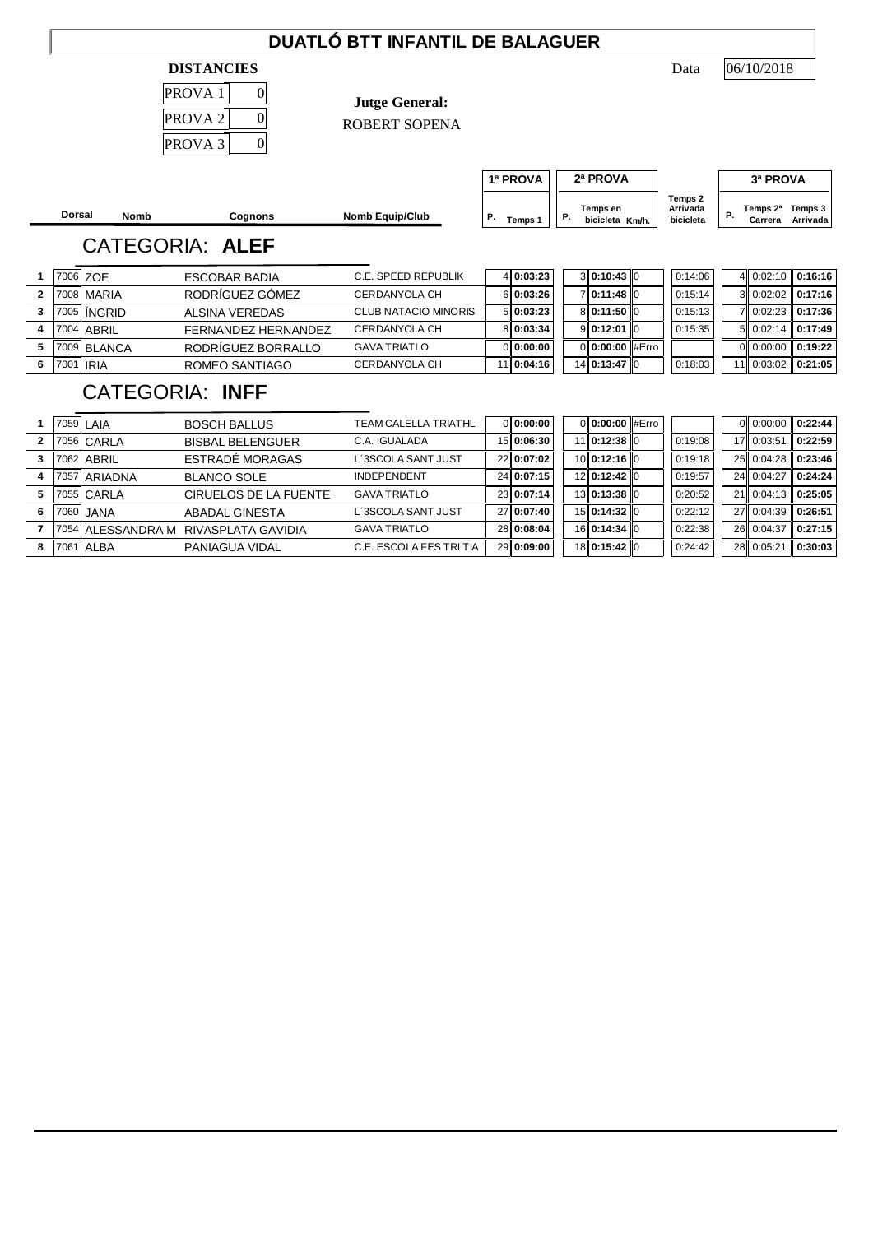## **DUATLÓ BTT INFANTIL DE BALAGUER**

#### **DISTANCIES** Data

| PROVA <sub>1</sub> | C |
|--------------------|---|
| PROVA <sub>2</sub> | C |
| PROVA <sub>3</sub> |   |

**Jutge General:**

ROBERT SOPENA

**Dorsal Nomb Cognons Nomb Equip/Club P.** Temps 1 **P.**  $T_{\text{emps 1}}$   $\begin{vmatrix} P. & \text{bicicleta} & \text{Km/h} \end{vmatrix}$  bicicleta  $\begin{vmatrix} P. & \text{bicicleta} \end{vmatrix}$ **Temps 3 Km/h. Arrivada P. Temps 2ª Carrera 1ª PROVA 2ª PROVA 3ª PROVA Temps 2 Arrivada bicicleta**

# CATEGORIA: **ALEF**

|           | 7006 ZOE    | ESCOBAR BADIA       | C.E. SPEED REPUBLIK  | 4 0:03:23  | 310:10:4310     | 0:14:06 |  | $4\text{ }0.02:10\text{ }0.16:16$ |
|-----------|-------------|---------------------|----------------------|------------|-----------------|---------|--|-----------------------------------|
|           | 7008 MARIA  | RODRÍGUEZ GÓMEZ     | CERDANYOLA CH        | 6 0:03:26  | 710:11:4810     | 0:15:14 |  | 3 0:02:02 0:17:16                 |
|           | 7005 INGRID | ALSINA VEREDAS      | CLUB NATACIO MINORIS | 5 0:03:23  | 8 0:11:50 0     | 0:15:13 |  | 7 0:02:23 0:17:36                 |
|           | 7004 ABRIL  | FFRNANDEZ HERNANDEZ | CERDANYOLA CH        | 8 0:03:34  | 9 0:12:01 0     | 0:15:35 |  | $5$   0:02:14   0:17:49           |
|           | 7009 BLANCA | RODRIGUEZ BORRALLO  | <b>GAVA TRIATLO</b>  | 0 0:00:00  | 0 0:00:00 #Erro |         |  | 0 0:00:00 0:19:22                 |
| 7001 IRIA |             | ROMEO SANTIAGO      | CERDANYOLA CH        | 11 0:04:16 | 14 0:13:47 0    | 0:18:03 |  | $11$   0:03:02   0:21:05          |

## CATEGORIA: **INFF**

|   |      | 7059 LAIA         | <b>BOSCH BALLUS</b>     | TEAM CALELLA TRIATHL    | 0 0:00:00  | 0 0:00:00 #Erro |         |                    | 0 0:00:00 0:22:44  |
|---|------|-------------------|-------------------------|-------------------------|------------|-----------------|---------|--------------------|--------------------|
|   |      | 7056 CARLA        | <b>BISBAL BELENGUER</b> | C.A. IGUALADA           | 15 0:06:30 | 11 0:12:38 10   | 0:19:08 | 17 0:03:51         | 0:22:59            |
|   |      | 7062 ABRIL        | ESTRADÉ MORAGAS         | L´3SCOLA SANT JUST      | 22 0:07:02 | 10 0:12:16 0    | 0:19:18 |                    | 25 0:04:28 0:23:46 |
|   | 7057 | <b>ARIADNA</b>    | <b>BLANCO SOLE</b>      | <b>INDEPENDENT</b>      | 24 0:07:15 | 12 0:12:42 0    | 0:19:57 |                    | 24 0:04:27 0:24:24 |
|   |      | 7055 CARLA        | CIRUELOS DE LA FUENTE   | <b>GAVA TRIATLO</b>     | 23 0:07:14 | 13 0:13:38 0    | 0:20:52 |                    | 21 0:04:13 0:25:05 |
| 6 |      | 7060 JANA         | ABADAL GINESTA          | L´3SCOLA SANT JUST      | 27 0:07:40 | 15 0:14:32 0    | 0:22:12 | 27 0:04:39 0:26:51 |                    |
|   |      | 7054 ALESSANDRA M | RIVASPLATA GAVIDIA      | <b>GAVA TRIATLO</b>     | 28 0:08:04 | 16 0:14:34 0    | 0:22:38 |                    | 26 0:04:37 0:27:15 |
| 8 |      | 7061 ALBA         | <b>PANIAGUA VIDAL</b>   | C.E. ESCOLA FES TRI TIA | 29 0:09:00 | 18 0:15:42 0    | 0:24:42 | 28 0:05:21         | 0:30:03            |

06/10/2018